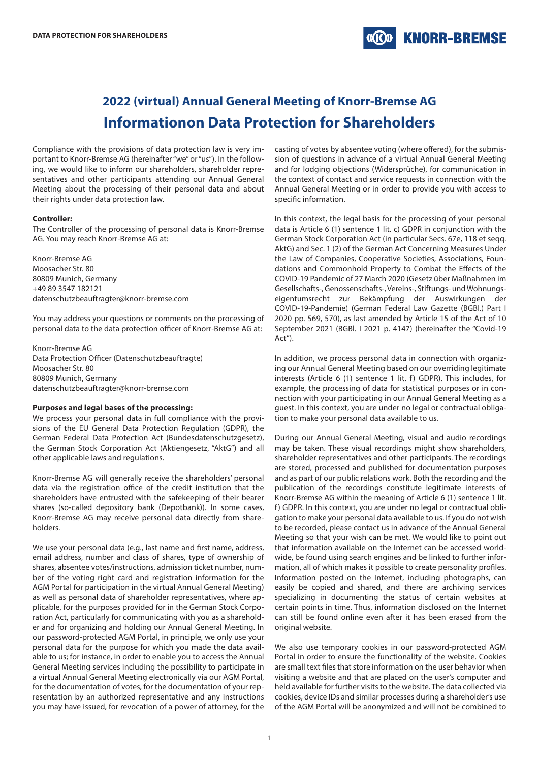# **KNORR-BREMSE**

# **2022 (virtual) Annual General Meeting of Knorr-Bremse AG Informationon Data Protection for Shareholders**

Compliance with the provisions of data protection law is very important to Knorr-Bremse AG (hereinafter "we" or "us"). In the following, we would like to inform our shareholders, shareholder representatives and other participants attending our Annual General Meeting about the processing of their personal data and about their rights under data protection law.

#### **Controller:**

The Controller of the processing of personal data is Knorr-Bremse AG. You may reach Knorr-Bremse AG at:

Knorr-Bremse AG Moosacher Str. 80 80809 Munich, Germany +49 89 3547 182121 datenschutzbeauftragter@knorr-bremse.com

You may address your questions or comments on the processing of personal data to the data protection officer of Knorr-Bremse AG at:

Knorr-Bremse AG Data Protection Officer (Datenschutzbeauftragte) Moosacher Str. 80 80809 Munich, Germany datenschutzbeauftragter@knorr-bremse.com

#### **Purposes and legal bases of the processing:**

We process your personal data in full compliance with the provisions of the EU General Data Protection Regulation (GDPR), the German Federal Data Protection Act (Bundesdatenschutzgesetz), the German Stock Corporation Act (Aktiengesetz, "AktG") and all other applicable laws and regulations.

Knorr-Bremse AG will generally receive the shareholders' personal data via the registration office of the credit institution that the shareholders have entrusted with the safekeeping of their bearer shares (so-called depository bank (Depotbank)). In some cases, Knorr-Bremse AG may receive personal data directly from shareholders.

We use your personal data (e.g., last name and first name, address, email address, number and class of shares, type of ownership of shares, absentee votes/instructions, admission ticket number, number of the voting right card and registration information for the AGM Portal for participation in the virtual Annual General Meeting) as well as personal data of shareholder representatives, where applicable, for the purposes provided for in the German Stock Corporation Act, particularly for communicating with you as a shareholder and for organizing and holding our Annual General Meeting. In our password-protected AGM Portal, in principle, we only use your personal data for the purpose for which you made the data available to us; for instance, in order to enable you to access the Annual General Meeting services including the possibility to participate in a virtual Annual General Meeting electronically via our AGM Portal, for the documentation of votes, for the documentation of your representation by an authorized representative and any instructions you may have issued, for revocation of a power of attorney, for the

casting of votes by absentee voting (where offered), for the submission of questions in advance of a virtual Annual General Meeting and for lodging objections (Widersprüche), for communication in the context of contact and service requests in connection with the Annual General Meeting or in order to provide you with access to specific information.

In this context, the legal basis for the processing of your personal data is Article 6 (1) sentence 1 lit. c) GDPR in conjunction with the German Stock Corporation Act (in particular Secs. 67e, 118 et seqq. AktG) and Sec. 1 (2) of the German Act Concerning Measures Under the Law of Companies, Cooperative Societies, Associations, Foundations and Commonhold Property to Combat the Effects of the COVID-19 Pandemic of 27 March 2020 (Gesetz über Maßnahmen im Gesellschafts-, Genossenschafts-, Vereins-, Stiftungs- und Wohnungseigentumsrecht zur Bekämpfung der Auswirkungen der COVID-19-Pandemie) (German Federal Law Gazette (BGBl.) Part I 2020 pp. 569, 570), as last amended by Article 15 of the Act of 10 September 2021 (BGBl. I 2021 p. 4147) (hereinafter the "Covid-19 Act").

In addition, we process personal data in connection with organizing our Annual General Meeting based on our overriding legitimate interests (Article 6 (1) sentence 1 lit. f) GDPR). This includes, for example, the processing of data for statistical purposes or in connection with your participating in our Annual General Meeting as a guest. In this context, you are under no legal or contractual obligation to make your personal data available to us.

During our Annual General Meeting, visual and audio recordings may be taken. These visual recordings might show shareholders, shareholder representatives and other participants. The recordings are stored, processed and published for documentation purposes and as part of our public relations work. Both the recording and the publication of the recordings constitute legitimate interests of Knorr-Bremse AG within the meaning of Article 6 (1) sentence 1 lit. f) GDPR. In this context, you are under no legal or contractual obligation to make your personal data available to us. If you do not wish to be recorded, please contact us in advance of the Annual General Meeting so that your wish can be met. We would like to point out that information available on the Internet can be accessed worldwide, be found using search engines and be linked to further information, all of which makes it possible to create personality profiles. Information posted on the Internet, including photographs, can easily be copied and shared, and there are archiving services specializing in documenting the status of certain websites at certain points in time. Thus, information disclosed on the Internet can still be found online even after it has been erased from the original website.

We also use temporary cookies in our password-protected AGM Portal in order to ensure the functionality of the website. Cookies are small text files that store information on the user behavior when visiting a website and that are placed on the user's computer and held available for further visits to the website. The data collected via cookies, device IDs and similar processes during a shareholder's use of the AGM Portal will be anonymized and will not be combined to